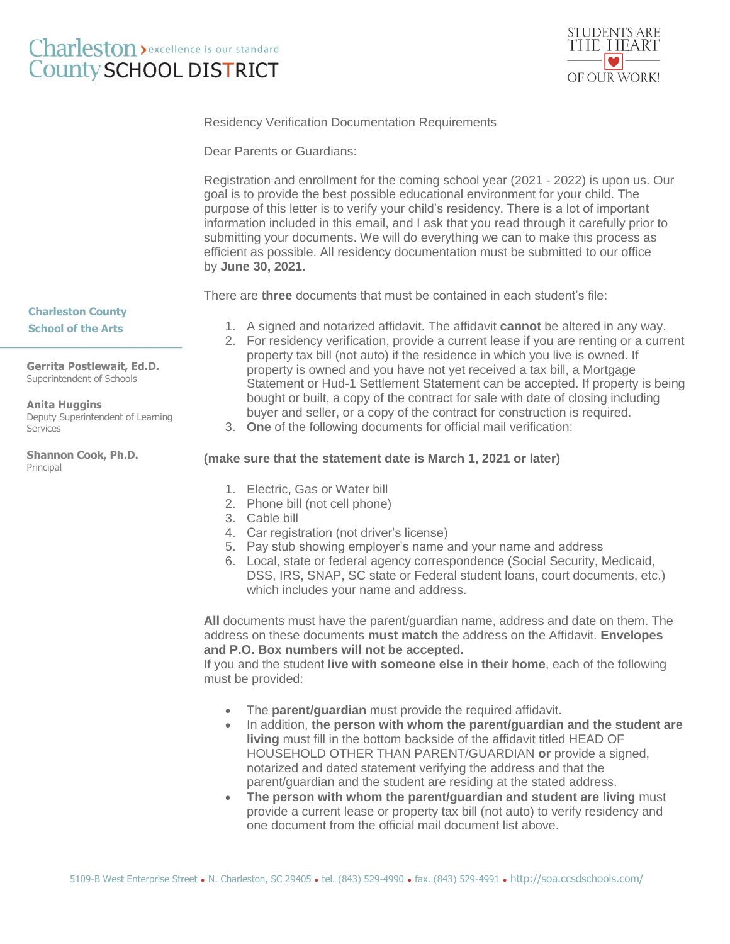## Charleston > excellence is our standard **County SCHOOL DISTRICT**



Residency Verification Documentation Requirements

Dear Parents or Guardians:

Registration and enrollment for the coming school year (2021 - 2022) is upon us. Our goal is to provide the best possible educational environment for your child. The purpose of this letter is to verify your child's residency. There is a lot of important information included in this email, and I ask that you read through it carefully prior to submitting your documents. We will do everything we can to make this process as efficient as possible. All residency documentation must be submitted to our office by **June 30, 2021.**

There are **three** documents that must be contained in each student's file:

**Charleston County School of the Arts**

**Gerrita Postlewait, Ed.D.** Superintendent of Schools

**\_\_\_\_\_\_\_\_\_\_\_\_\_\_\_\_\_\_\_\_\_\_\_\_**

**Anita Huggins** Deputy Superintendent of Learning Services

**Shannon Cook, Ph.D.** Principal

- 1. A signed and notarized affidavit. The affidavit **cannot** be altered in any way.
- 2. For residency verification, provide a current lease if you are renting or a current property tax bill (not auto) if the residence in which you live is owned. If property is owned and you have not yet received a tax bill, a Mortgage Statement or Hud-1 Settlement Statement can be accepted. If property is being bought or built, a copy of the contract for sale with date of closing including buyer and seller, or a copy of the contract for construction is required.
- 3. **One** of the following documents for official mail verification:

## **(make sure that the statement date is March 1, 2021 or later)**

- 1. Electric, Gas or Water bill
- 2. Phone bill (not cell phone)
- 3. Cable bill
- 4. Car registration (not driver's license)
- 5. Pay stub showing employer's name and your name and address
- 6. Local, state or federal agency correspondence (Social Security, Medicaid, DSS, IRS, SNAP, SC state or Federal student loans, court documents, etc.) which includes your name and address.

**All** documents must have the parent/guardian name, address and date on them. The address on these documents **must match** the address on the Affidavit. **Envelopes and P.O. Box numbers will not be accepted.**

If you and the student **live with someone else in their home**, each of the following must be provided:

- The **parent/guardian** must provide the required affidavit.
- In addition, the person with whom the parent/quardian and the student are **living** must fill in the bottom backside of the affidavit titled HEAD OF HOUSEHOLD OTHER THAN PARENT/GUARDIAN **or** provide a signed, notarized and dated statement verifying the address and that the parent/guardian and the student are residing at the stated address.
- **The person with whom the parent/guardian and student are living** must provide a current lease or property tax bill (not auto) to verify residency and one document from the official mail document list above.